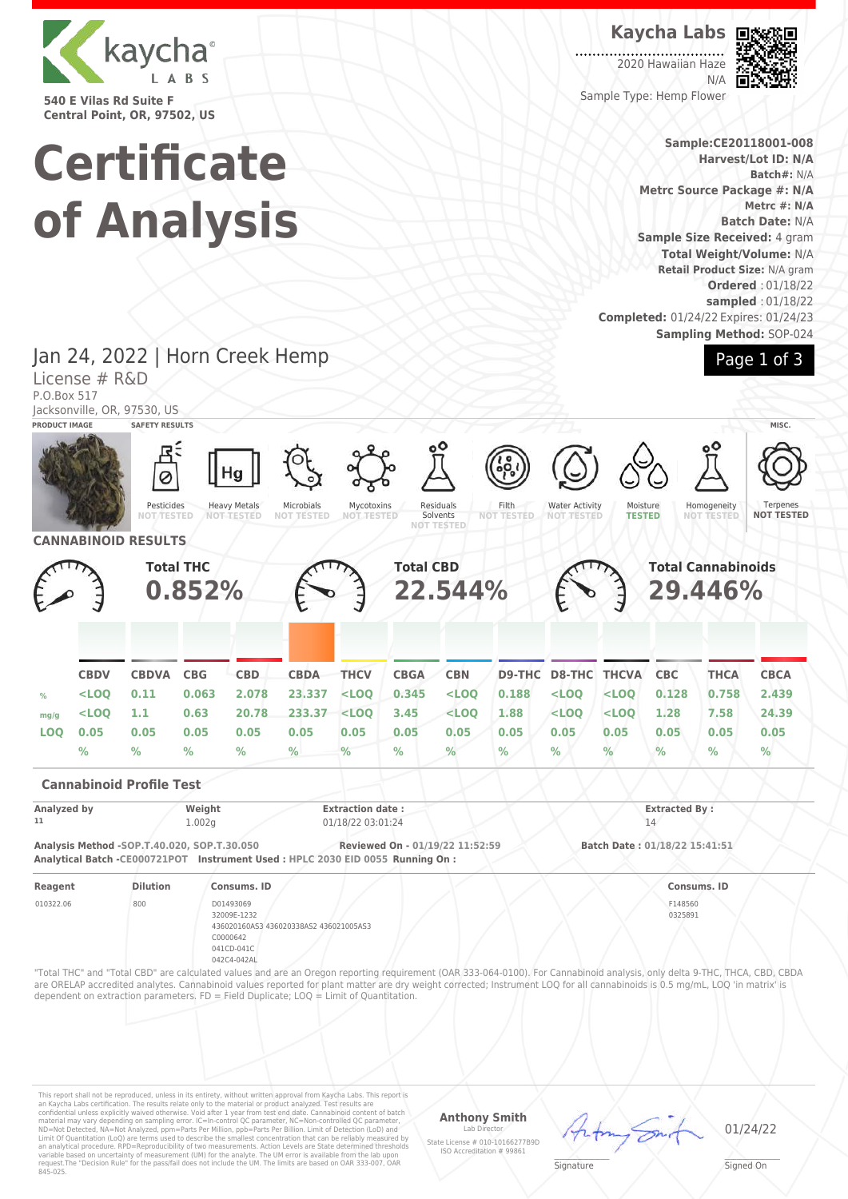

**540 E Vilas Rd Suite F Central Point, OR, 97502, US**

# **Certificate of Analysis**

**Kaycha Labs**

2020 Hawaiian Haze N/A Sample Type: Hemp Flower



**Sample:CE20118001-008**

**Harvest/Lot ID: N/A Batch#:** N/A **Metrc Source Package #: N/A Metrc #: N/A Batch Date:** N/A **Sample Size Received:** 4 gram **Total Weight/Volume:** N/A **Retail Product Size:** N/A gram **Ordered** : 01/18/22 **sampled** : 01/18/22 **Completed:** 01/24/22 Expires: 01/24/23 **Sampling Method:** SOP-024



Jan 24, 2022 | Horn Creek Hemp License # R&D P.O.Box 517

Jacksonville, OR, 97530, US

| PRODUCT IMAGE     |             | <b>SAFETY RESULTS</b>                                                                                                        |                  |                                                                   |                                        |                                              |                                 |                                            |                                                                                                                                                                                                                                                                                                                                                          |                                            |                                      |                               |                           | MISC.                         |
|-------------------|-------------|------------------------------------------------------------------------------------------------------------------------------|------------------|-------------------------------------------------------------------|----------------------------------------|----------------------------------------------|---------------------------------|--------------------------------------------|----------------------------------------------------------------------------------------------------------------------------------------------------------------------------------------------------------------------------------------------------------------------------------------------------------------------------------------------------------|--------------------------------------------|--------------------------------------|-------------------------------|---------------------------|-------------------------------|
|                   |             | Pesticides<br><b>NOT TESTED</b>                                                                                              |                  | Hg<br><b>Heavy Metals</b><br><b>NOT-TESTED</b>                    | Microbials<br><b>NOT TESTED</b>        | Mycotoxins<br><b>NOT TESTED</b>              |                                 | Residuals<br>Solvents<br><b>NOT TESTED</b> | $^{\circ}$<br>Filth<br><b>NOT TESTED</b>                                                                                                                                                                                                                                                                                                                 | <b>Water Activity</b><br><b>NOT TESTED</b> | Moisture<br><b>TESTED</b>            |                               | Homogeneity<br>NOT TESTED | Terpenes<br><b>NOT TESTED</b> |
|                   |             | <b>CANNABINOID RESULTS</b>                                                                                                   |                  |                                                                   |                                        |                                              |                                 |                                            |                                                                                                                                                                                                                                                                                                                                                          |                                            |                                      |                               |                           |                               |
|                   |             | <b>Total THC</b><br>0.852%                                                                                                   |                  |                                                                   |                                        |                                              | <b>Total CBD</b><br>22,544%     |                                            |                                                                                                                                                                                                                                                                                                                                                          |                                            | <b>Total Cannabinoids</b><br>29.446% |                               |                           |                               |
|                   | <b>CBDV</b> | <b>CBDVA</b>                                                                                                                 | <b>CBG</b>       | <b>CBD</b>                                                        | <b>CBDA</b>                            | <b>THCV</b>                                  | <b>CBGA</b>                     | <b>CBN</b>                                 | D9-THC                                                                                                                                                                                                                                                                                                                                                   | <b>D8-THC THCVA</b>                        |                                      | <b>CBC</b>                    | <b>THCA</b>               | <b>CBCA</b>                   |
| %                 | $<$ LOQ     | 0.11                                                                                                                         | 0.063            | 2.078                                                             | 23,337                                 | $<$ LOO                                      | 0.345                           | $<$ LOO                                    | 0.188                                                                                                                                                                                                                                                                                                                                                    | $<$ LOQ                                    | $<$ LOQ                              | 0.128                         | 0.758                     | 2.439                         |
| mg/g              | $<$ LOO     | 1.1 <sub>1</sub>                                                                                                             | 0.63             | 20.78                                                             | 233.37                                 | $<$ LOO                                      | 3.45                            | $<$ LOO                                    | 1.88                                                                                                                                                                                                                                                                                                                                                     | $<$ LOO                                    | $<$ LOO                              | 1.28                          | 7.58                      | 24.39                         |
| <b>LOO</b>        | 0.05        | 0.05                                                                                                                         | 0.05             | 0.05                                                              | 0.05                                   | 0.05                                         | 0.05                            | 0.05                                       | 0.05                                                                                                                                                                                                                                                                                                                                                     | 0.05                                       | 0.05                                 | 0.05                          | 0.05                      | 0.05                          |
|                   | $\%$        | $\%$                                                                                                                         | $\%$             | $\frac{9}{6}$                                                     | $\frac{9}{6}$                          | $\frac{9}{6}$                                | $\%$                            | %                                          | %                                                                                                                                                                                                                                                                                                                                                        | $\%$                                       | $\%$                                 | $\%$                          | $\%$                      | $\%$                          |
|                   |             | <b>Cannabinoid Profile Test</b>                                                                                              |                  |                                                                   |                                        |                                              |                                 |                                            |                                                                                                                                                                                                                                                                                                                                                          |                                            |                                      |                               |                           |                               |
| Analyzed by<br>11 |             |                                                                                                                              | Weight<br>1.002g |                                                                   |                                        | <b>Extraction date:</b><br>01/18/22 03:01:24 |                                 |                                            |                                                                                                                                                                                                                                                                                                                                                          |                                            |                                      | <b>Extracted By:</b><br>14    |                           |                               |
|                   |             | Analysis Method -SOP.T.40.020, SOP.T.30.050<br>Analytical Batch -CE000721POT Instrument Used: HPLC 2030 EID 0055 Running On: |                  |                                                                   |                                        |                                              | Reviewed On - 01/19/22 11:52:59 |                                            |                                                                                                                                                                                                                                                                                                                                                          |                                            |                                      | Batch Date: 01/18/22 15:41:51 |                           |                               |
| Reagent           |             | <b>Dilution</b>                                                                                                              |                  | Consums, ID                                                       |                                        |                                              |                                 |                                            |                                                                                                                                                                                                                                                                                                                                                          |                                            |                                      |                               | Consums, ID               |                               |
| 010322.06         |             | 800                                                                                                                          |                  | D01493069<br>32009E-1232<br>C0000642<br>041CD-041C<br>042C4-042AL | 436020160AS3 436020338AS2 436021005AS3 |                                              |                                 |                                            |                                                                                                                                                                                                                                                                                                                                                          |                                            |                                      | F148560<br>0325891            |                           |                               |
|                   |             | dependent on extraction parameters. $FD = Field Dublicate$ : $LOO = Limit of Quantitation$ .                                 |                  |                                                                   |                                        |                                              |                                 |                                            | "Total THC" and "Total CBD" are calculated values and are an Oregon reporting requirement (OAR 333-064-0100). For Cannabinoid analysis, only delta 9-THC, THCA, CBD, CBDA<br>are ORELAP accredited analytes. Cannabinoid values reported for plant matter are dry weight corrected; Instrument LOQ for all cannabinoids is 0.5 mg/mL, LOQ 'in matrix' is |                                            |                                      |                               |                           |                               |

This report shall not be reproduced, unless in its entirety, without written approval from Kaycha Labs. This report is<br>an Kaycha Labs certification. The results relate only to the material or product analyzed. Test result

#### **Anthony Smith** Lab Director

State License # 010-10166277B9D ISO Accreditation # 99861

01/24/22

 $\mathscr{L}\setminus\mathscr{L}$ **Signature** 

\_\_\_\_\_\_\_\_\_\_\_\_\_\_\_\_\_\_\_ Signed On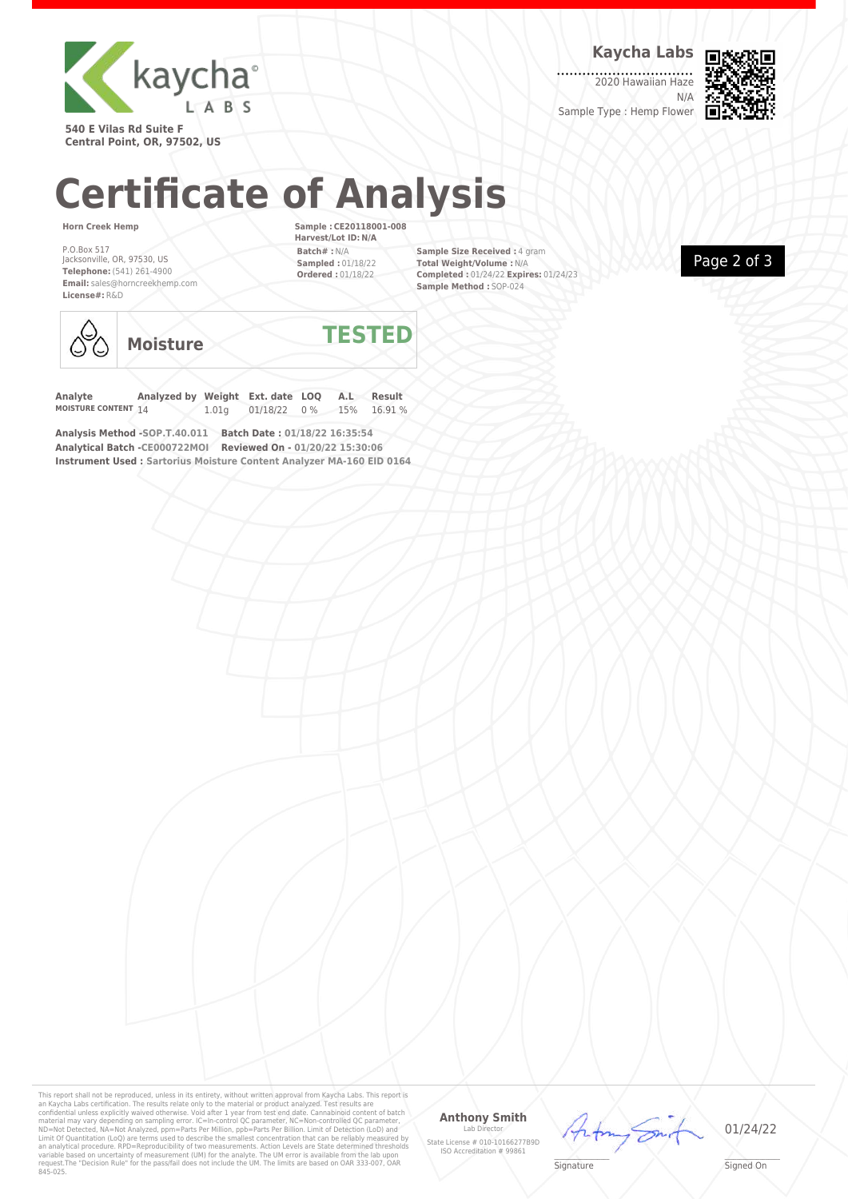

**Kaycha Labs**

2020 Hawaiian Haze N/A



**540 E Vilas Rd Suite F Central Point, OR, 97502, US**

# **Certificate of Analysis**

#### **Horn Creek Hemp**

P.O.Box 517 Jacksonville, OR, 97530, US **Telephone:** (541) 261-4900 **Email:** sales@horncreekhemp.com **License#:** R&D

**Sample : CE20118001-008 Harvest/Lot ID: N/A Batch# :** N/A **Sampled :** 01/18/22 **Ordered :** 01/18/22

**Sample Size Received :** 4 gram **Total Weight/Volume :** N/A **Completed :** 01/24/22 **Expires:** 01/24/23 **Sample Method :** SOP-024





**Moisture TESTED**

**Analyte Analyzed by Weight Ext. date LOQ A.L Result** 01/18/22 0% 15% 16.91%

**Analysis Method -SOP.T.40.011 Batch Date : 01/18/22 16:35:54 Analytical Batch -CE000722MOI Reviewed On - 01/20/22 15:30:06 Instrument Used : Sartorius Moisture Content Analyzer MA-160 EID 0164**

This report shall not be reproduced, unless in its entirety, without written approval from Kaycha Labs. This report is<br>an Kaycha Labs certification. The results relate only to the material or product analyzed. Test result

## **Anthony Smith**

Lab Director State License # 010-10166277B9D ISO Accreditation # 99861



01/24/22

 $\mathscr{L}\setminus\mathscr{L}$ **Signature** 

\_\_\_\_\_\_\_\_\_\_\_\_\_\_\_\_\_\_\_ Signed On